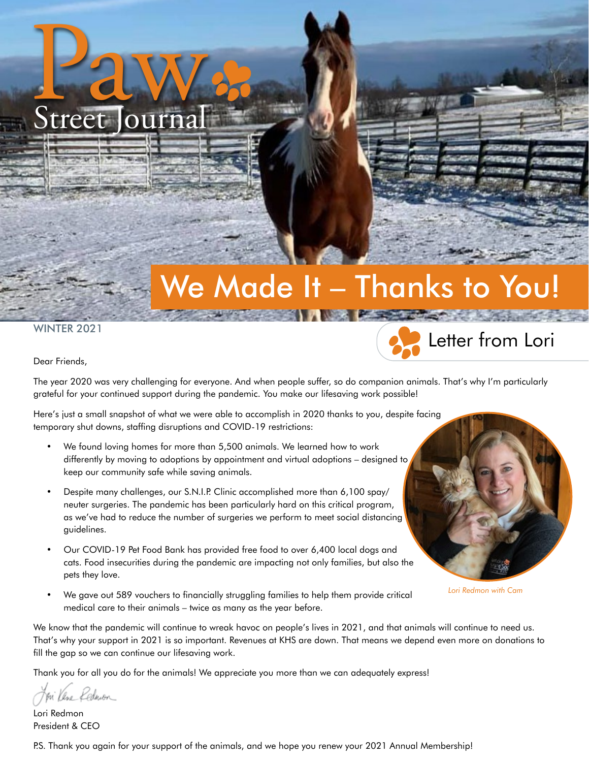# We Made It – Thanks to You!

WINTER 2021

Paw Street Journal



Dear Friends,

The year 2020 was very challenging for everyone. And when people suffer, so do companion animals. That's why I'm particularly grateful for your continued support during the pandemic. You make our lifesaving work possible!

Here's just a small snapshot of what we were able to accomplish in 2020 thanks to you, despite facing temporary shut downs, staffing disruptions and COVID-19 restrictions:

- We found loving homes for more than 5,500 animals. We learned how to work differently by moving to adoptions by appointment and virtual adoptions – designed to keep our community safe while saving animals.
- Despite many challenges, our S.N.I.P. Clinic accomplished more than 6,100 spay/ neuter surgeries. The pandemic has been particularly hard on this critical program, as we've had to reduce the number of surgeries we perform to meet social distancing guidelines.
- Our COVID-19 Pet Food Bank has provided free food to over 6,400 local dogs and cats. Food insecurities during the pandemic are impacting not only families, but also the pets they love.
- We gave out 589 vouchers to financially struggling families to help them provide critical medical care to their animals – twice as many as the year before.



*Lori Redmon with Cam*

We know that the pandemic will continue to wreak havoc on people's lives in 2021, and that animals will continue to need us. That's why your support in 2021 is so important. Revenues at KHS are down. That means we depend even more on donations to fill the gap so we can continue our lifesaving work.

Thank you for all you do for the animals! We appreciate you more than we can adequately express!

Kednoon

Lori Redmon President & CEO

P.S. Thank you again for your support of the animals, and we hope you renew your 2021 Annual Membership!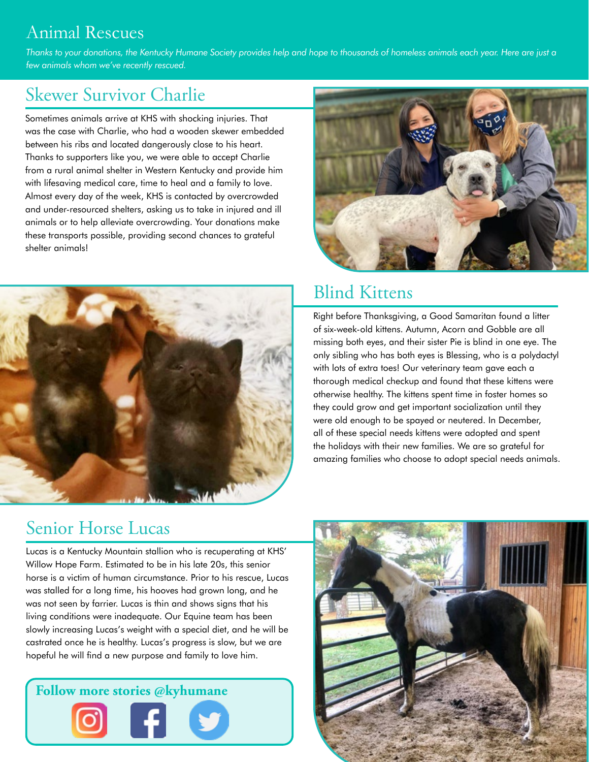### Animal Rescues

*Thanks to your donations, the Kentucky Humane Society provides help and hope to thousands of homeless animals each year. Here are just a few animals whom we've recently rescued.*

## Skewer Survivor Charlie

Sometimes animals arrive at KHS with shocking injuries. That was the case with Charlie, who had a wooden skewer embedded between his ribs and located dangerously close to his heart. Thanks to supporters like you, we were able to accept Charlie from a rural animal shelter in Western Kentucky and provide him with lifesaving medical care, time to heal and a family to love. Almost every day of the week, KHS is contacted by overcrowded and under-resourced shelters, asking us to take in injured and ill animals or to help alleviate overcrowding. Your donations make these transports possible, providing second chances to grateful shelter animals!





### Blind Kittens

Right before Thanksgiving, a Good Samaritan found a litter of six-week-old kittens. Autumn, Acorn and Gobble are all missing both eyes, and their sister Pie is blind in one eye. The only sibling who has both eyes is Blessing, who is a polydactyl with lots of extra toes! Our veterinary team gave each a thorough medical checkup and found that these kittens were otherwise healthy. The kittens spent time in foster homes so they could grow and get important socialization until they were old enough to be spayed or neutered. In December, all of these special needs kittens were adopted and spent the holidays with their new families. We are so grateful for amazing families who choose to adopt special needs animals.

#### Senior Horse Lucas

Lucas is a Kentucky Mountain stallion who is recuperating at KHS' Willow Hope Farm. Estimated to be in his late 20s, this senior horse is a victim of human circumstance. Prior to his rescue, Lucas was stalled for a long time, his hooves had grown long, and he was not seen by farrier. Lucas is thin and shows signs that his living conditions were inadequate. Our Equine team has been slowly increasing Lucas's weight with a special diet, and he will be castrated once he is healthy. Lucas's progress is slow, but we are hopeful he will find a new purpose and family to love him.



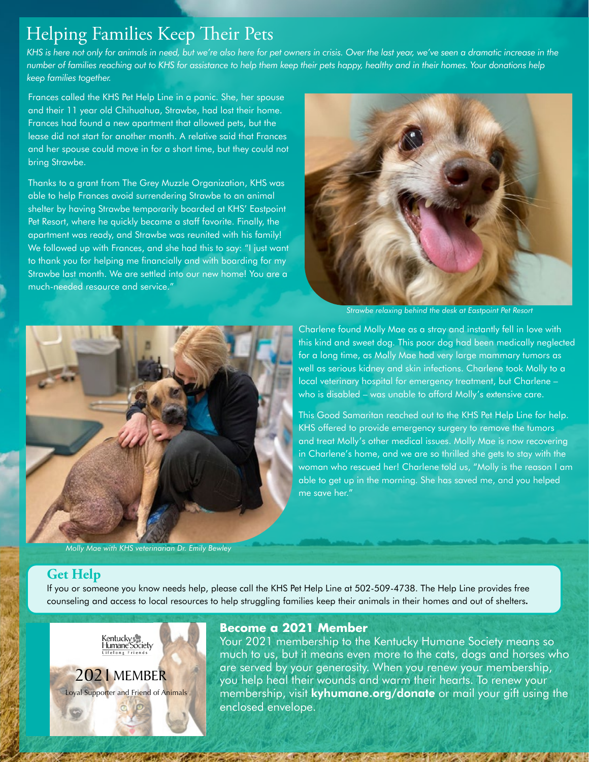#### Helping Families Keep Their Pets

KHS is here not only for animals in need, but we're also here for pet owners in crisis. Over the last year, we've seen a dramatic increase in the *number of families reaching out to KHS for assistance to help them keep their pets happy, healthy and in their homes. Your donations help keep families together.*

Frances called the KHS Pet Help Line in a panic. She, her spouse and their 11 year old Chihuahua, Strawbe, had lost their home. Frances had found a new apartment that allowed pets, but the lease did not start for another month. A relative said that Frances and her spouse could move in for a short time, but they could not bring Strawbe.

Thanks to a grant from The Grey Muzzle Organization, KHS was able to help Frances avoid surrendering Strawbe to an animal shelter by having Strawbe temporarily boarded at KHS' Eastpoint Pet Resort, where he quickly became a staff favorite. Finally, the apartment was ready, and Strawbe was reunited with his family! We followed up with Frances, and she had this to say: "I just want to thank you for helping me financially and with boarding for my Strawbe last month. We are settled into our new home! You are a much-needed resource and service."



*Strawbe relaxing behind the desk at Eastpoint Pet Resort* 



*Molly Mae with KHS veterinarian Dr. Emily Bewley*

Charlene found Molly Mae as a stray and instantly fell in love with this kind and sweet dog. This poor dog had been medically neglected for a long time, as Molly Mae had very large mammary tumors as well as serious kidney and skin infections. Charlene took Molly to a local veterinary hospital for emergency treatment, but Charlene – who is disabled – was unable to afford Molly's extensive care.

This Good Samaritan reached out to the KHS Pet Help Line for help. KHS offered to provide emergency surgery to remove the tumors and treat Molly's other medical issues. Molly Mae is now recovering in Charlene's home, and we are so thrilled she gets to stay with the woman who rescued her! Charlene told us, "Molly is the reason I am able to get up in the morning. She has saved me, and you helped me save her."

#### **Get Help**

If you or someone you know needs help, please call the KHS Pet Help Line at 502-509-4738. The Help Line provides free counseling and access to local resources to help struggling families keep their animals in their homes and out of shelters**.**



#### **Become a 2021 Member**

Your 2021 membership to the Kentucky Humane Society means so much to us, but it means even more to the cats, dogs and horses who are served by your generosity. When you renew your membership, you help heal their wounds and warm their hearts. To renew your membership, visit **kyhumane.org/donate** or mail your gift using the enclosed envelope.